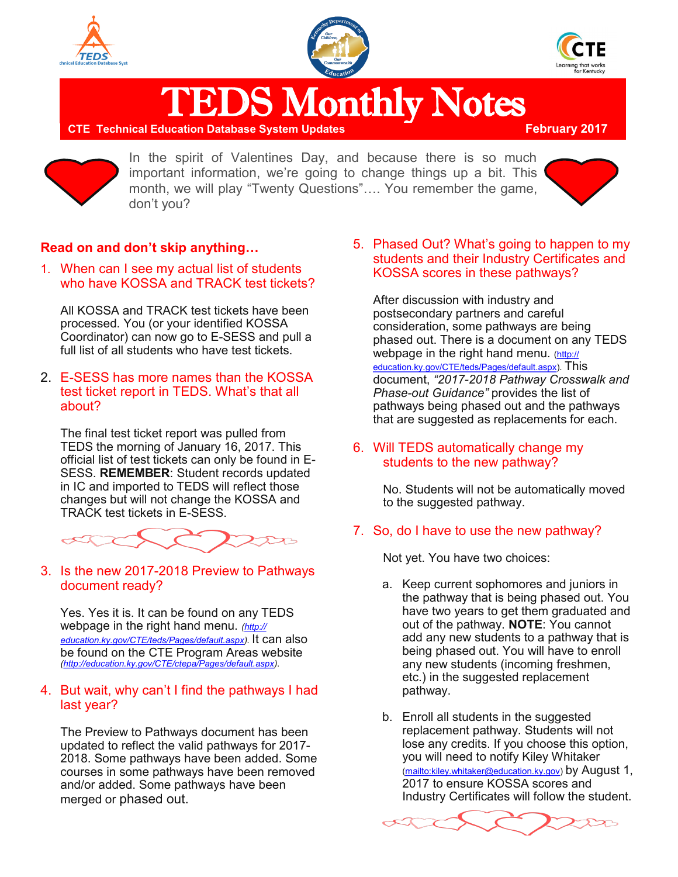





**TEDS Monthly Notes**<br>ducation Database System Updates

**CTE Technical Education Database System Updates** 



In the spirit of Valentines Day, and because there is so much important information, we're going to change things up a bit. This month, we will play "Twenty Questions"…. You remember the game, don't you?



### **Read on and don't skip anything…**

1. When can I see my actual list of students who have KOSSA and TRACK test tickets?

All KOSSA and TRACK test tickets have been processed. You (or your identified KOSSA Coordinator) can now go to E-SESS and pull a full list of all students who have test tickets.

2. E-SESS has more names than the KOSSA test ticket report in TEDS. What's that all about?

The final test ticket report was pulled from TEDS the morning of January 16, 2017. This official list of test tickets can only be found in E-SESS. **REMEMBER**: Student records updated in IC and imported to TEDS will reflect those changes but will not change the KOSSA and TRACK test tickets in E-SESS.



3. Is the new 2017-2018 Preview to Pathways document ready?

Yes. Yes it is. It can be found on any TEDS webpage in the right hand menu. *([http://](http://education.ky.gov/CTE/teds/Pages/default.aspx) [education.ky.gov/CTE/teds/Pages/default.aspx\)](http://education.ky.gov/CTE/teds/Pages/default.aspx).* It can also be found on the CTE Program Areas website *[\(http://education.ky.gov/CTE/ctepa/Pages/default.aspx\)](http://education.ky.gov/CTE/ctepa/Pages/default.aspx)*.

#### 4. But wait, why can't I find the pathways I had last year?

The Preview to Pathways document has been updated to reflect the valid pathways for 2017- 2018. Some pathways have been added. Some courses in some pathways have been removed and/or added. Some pathways have been merged or phased out.

5. Phased Out? What's going to happen to my students and their Industry Certificates and KOSSA scores in these pathways?

After discussion with industry and postsecondary partners and careful consideration, some pathways are being phased out. There is a document on any TEDS webpage in the right hand menu. [\(http://](http://education.ky.gov/CTE/teds/Pages/default.aspx) [education.ky.gov/CTE/teds/Pages/default.aspx\).](http://education.ky.gov/CTE/teds/Pages/default.aspx) This document, *"2017-2018 Pathway Crosswalk and Phase-out Guidance"* provides the list of pathways being phased out and the pathways that are suggested as replacements for each.

6. Will TEDS automatically change my students to the new pathway?

> No. Students will not be automatically moved to the suggested pathway.

#### 7. So, do I have to use the new pathway?

Not yet. You have two choices:

- a. Keep current sophomores and juniors in the pathway that is being phased out. You have two years to get them graduated and out of the pathway. **NOTE**: You cannot add any new students to a pathway that is being phased out. You will have to enroll any new students (incoming freshmen, etc.) in the suggested replacement pathway.
- b. Enroll all students in the suggested replacement pathway. Students will not lose any credits. If you choose this option, you will need to notify Kiley Whitaker [\(mailto:kiley.whitaker@education.ky.gov\)](mailto:kiley.whitaker@education.ky.gov) by August 1, 2017 to ensure KOSSA scores and Industry Certificates will follow the student.

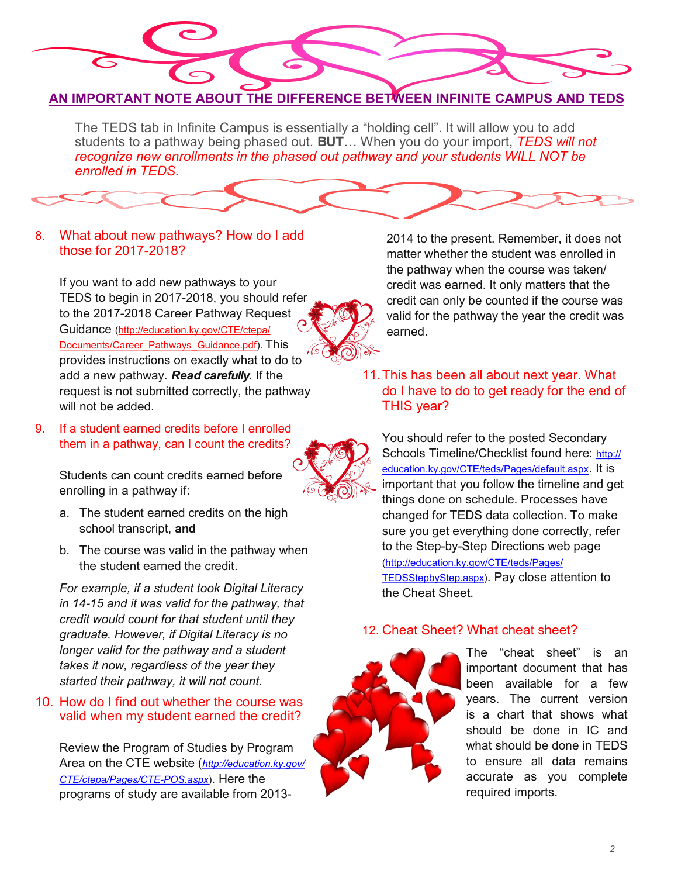

The TEDS tab in Infinite Campus is essentially a "holding cell". It will allow you to add students to a pathway being phased out. **BUT**… When you do your import, *TEDS will not recognize new enrollments in the phased out pathway and your students WILL NOT be enrolled in TEDS.*

## 8. What about new pathways? How do I add those for 2017-2018?

If you want to add new pathways to your TEDS to begin in 2017-2018, you should refer to the 2017-2018 Career Pathway Request Guidance ([http://education.ky.gov/CTE/ctepa/](http://education.ky.gov/CTE/ctepa/Documents/Career_Pathways_Guidance.pdf) [Documents/Career\\_Pathways\\_Guidance.pdf\).](http://education.ky.gov/CTE/ctepa/Documents/Career_Pathways_Guidance.pdf) This provides instructions on exactly what to do to add a new pathway. *Read carefully*. If the request is not submitted correctly, the pathway will not be added.

9. If a student earned credits before I enrolled them in a pathway, can I count the credits?



Students can count credits earned before enrolling in a pathway if:

- a. The student earned credits on the high school transcript, **and**
- b. The course was valid in the pathway when the student earned the credit.

*For example, if a student took Digital Literacy in 14-15 and it was valid for the pathway, that credit would count for that student until they graduate. However, if Digital Literacy is no longer valid for the pathway and a student takes it now, regardless of the year they started their pathway, it will not count.*

### 10. How do I find out whether the course was valid when my student earned the credit?

Review the Program of Studies by Program Area on the CTE website (*[http://education.ky.gov/](http://education.ky.gov/CTE/ctepa/Pages/CTE-POS.aspx) [CTE/ctepa/Pages/CTE](http://education.ky.gov/CTE/ctepa/Pages/CTE-POS.aspx)-POS.aspx*). Here the programs of study are available from 20132014 to the present. Remember, it does not matter whether the student was enrolled in the pathway when the course was taken/ credit was earned. It only matters that the credit can only be counted if the course was valid for the pathway the year the credit was earned.

11.This has been all about next year. What do I have to do to get ready for the end of THIS year?

You should refer to the posted Secondary Schools Timeline/Checklist found here: [http://](http://education.ky.gov/CTE/teds/Pages/default.aspx) [education.ky.gov/CTE/teds/Pages/default.aspx](http://education.ky.gov/CTE/teds/Pages/default.aspx). It is important that you follow the timeline and get things done on schedule. Processes have changed for TEDS data collection. To make sure you get everything done correctly, refer to the Step-by-Step Directions web page [\(http://education.ky.gov/CTE/teds/Pages/](http://education.ky.gov/CTE/teds/Pages/TEDSStepbyStep.aspx) [TEDSStepbyStep.aspx\)](http://education.ky.gov/CTE/teds/Pages/TEDSStepbyStep.aspx). Pay close attention to the Cheat Sheet.

## 12. Cheat Sheet? What cheat sheet?



The "cheat sheet" is an important document that has been available for a few years. The current version is a chart that shows what should be done in IC and what should be done in TEDS to ensure all data remains accurate as you complete required imports.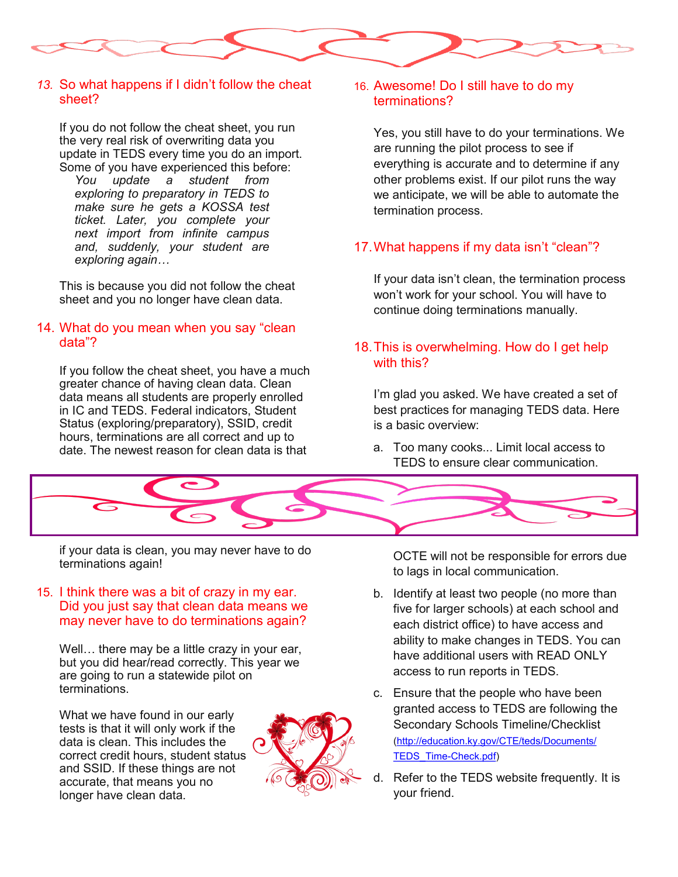

#### *13.* So what happens if I didn't follow the cheat sheet?

If you do not follow the cheat sheet, you run the very real risk of overwriting data you update in TEDS every time you do an import. Some of you have experienced this before:

*You update a student from exploring to preparatory in TEDS to make sure he gets a KOSSA test ticket. Later, you complete your next import from infinite campus and, suddenly, your student are exploring again…*

This is because you did not follow the cheat sheet and you no longer have clean data.

### 14. What do you mean when you say "clean data"?

If you follow the cheat sheet, you have a much greater chance of having clean data. Clean data means all students are properly enrolled in IC and TEDS. Federal indicators, Student Status (exploring/preparatory), SSID, credit hours, terminations are all correct and up to date. The newest reason for clean data is that

### 16. Awesome! Do I still have to do my terminations?

Yes, you still have to do your terminations. We are running the pilot process to see if everything is accurate and to determine if any other problems exist. If our pilot runs the way we anticipate, we will be able to automate the termination process.

# 17.What happens if my data isn't "clean"?

If your data isn't clean, the termination process won't work for your school. You will have to continue doing terminations manually.

### 18.This is overwhelming. How do I get help with this?

I'm glad you asked. We have created a set of best practices for managing TEDS data. Here is a basic overview:

a. Too many cooks... Limit local access to TEDS to ensure clear communication.



if your data is clean, you may never have to do terminations again!

#### 15. I think there was a bit of crazy in my ear. Did you just say that clean data means we may never have to do terminations again?

Well… there may be a little crazy in your ear, but you did hear/read correctly. This year we are going to run a statewide pilot on terminations.

What we have found in our early tests is that it will only work if the data is clean. This includes the correct credit hours, student status and SSID. If these things are not accurate, that means you no longer have clean data.



OCTE will not be responsible for errors due to lags in local communication.

- b. Identify at least two people (no more than five for larger schools) at each school and each district office) to have access and ability to make changes in TEDS. You can have additional users with READ ONLY access to run reports in TEDS.
- c. Ensure that the people who have been granted access to TEDS are following the Secondary Schools Timeline/Checklist [\(http://education.ky.gov/CTE/teds/Documents/](http://education.ky.gov/CTE/teds/Documents/TEDS_Time-Check.pdf) [TEDS\\_Time](http://education.ky.gov/CTE/teds/Documents/TEDS_Time-Check.pdf)-Check.pdf)
- d. Refer to the TEDS website frequently. It is your friend.